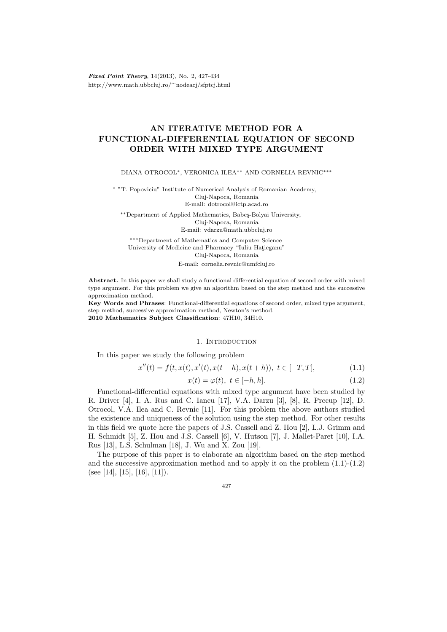Fixed Point Theory, 14(2013), No. 2, 427-434 http://www.math.ubbcluj.ro/∼nodeacj/sfptcj.html

# AN ITERATIVE METHOD FOR A FUNCTIONAL-DIFFERENTIAL EQUATION OF SECOND ORDER WITH MIXED TYPE ARGUMENT

DIANA OTROCOL∗, VERONICA ILEA∗∗ AND CORNELIA REVNIC∗∗∗

<sup>∗</sup> "T. Popoviciu" Institute of Numerical Analysis of Romanian Academy, Cluj-Napoca, Romania E-mail: dotrocol@ictp.acad.ro

∗∗Department of Applied Mathematics, Babe¸s-Bolyai University, Cluj-Napoca, Romania E-mail: vdarzu@math.ubbcluj.ro

∗∗∗Department of Mathematics and Computer Science University of Medicine and Pharmacy "Iuliu Hatieganu" Cluj-Napoca, Romania E-mail: cornelia.revnic@umfcluj.ro

Abstract. In this paper we shall study a functional differential equation of second order with mixed type argument. For this problem we give an algorithm based on the step method and the successive approximation method.

Key Words and Phrases: Functional-differential equations of second order, mixed type argument, step method, successive approximation method, Newton's method. 2010 Mathematics Subject Classification: 47H10, 34H10.

### 1. INTRODUCTION

In this paper we study the following problem

$$
x''(t) = f(t, x(t), x'(t), x(t - h), x(t + h)), t \in [-T, T],
$$
\n(1.1)

$$
x(t) = \varphi(t), \ t \in [-h, h]. \tag{1.2}
$$

Functional-differential equations with mixed type argument have been studied by R. Driver [4], I. A. Rus and C. Iancu [17], V.A. Darzu [3], [8], R. Precup [12], D. Otrocol, V.A. Ilea and C. Revnic [11]. For this problem the above authors studied the existence and uniqueness of the solution using the step method. For other results in this field we quote here the papers of J.S. Cassell and Z. Hou [2], L.J. Grimm and H. Schmidt [5], Z. Hou and J.S. Cassell [6], V. Hutson [7], J. Mallet-Paret [10], I.A. Rus [13], L.S. Schulman [18], J. Wu and X. Zou [19].

The purpose of this paper is to elaborate an algorithm based on the step method and the successive approximation method and to apply it on the problem (1.1)-(1.2) (see [14], [15], [16], [11]).

$$
^{427}
$$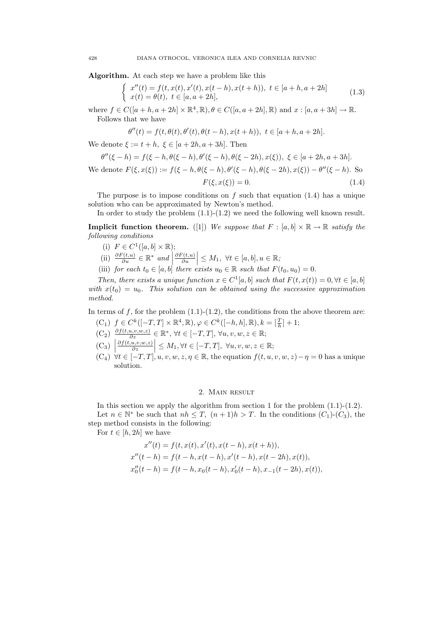Algorithm. At each step we have a problem like this

$$
\begin{cases}\nx''(t) = f(t, x(t), x'(t), x(t-h), x(t+h)), t \in [a+h, a+2h] \\
x(t) = \theta(t), t \in [a, a+2h],\n\end{cases}
$$
\n(1.3)

where  $f \in C([a+h, a+2h] \times \mathbb{R}^4, \mathbb{R}), \theta \in C([a, a+2h], \mathbb{R})$  and  $x : [a, a+3h] \to \mathbb{R}$ . Follows that we have

$$
\theta''(t) = f(t, \theta(t), \theta'(t), \theta(t - h), x(t + h)), \ t \in [a + h, a + 2h].
$$

We denote  $\xi := t + h$ ,  $\xi \in [a + 2h, a + 3h]$ . Then

$$
\theta''(\xi - h) = f(\xi - h, \theta(\xi - h), \theta'(\xi - h), \theta(\xi - 2h), x(\xi)), \xi \in [a + 2h, a + 3h].
$$

We denote  $F(\xi, x(\xi)) := f(\xi - h, \theta(\xi - h), \theta'(\xi - h), \theta(\xi - 2h), x(\xi)) - \theta''(\xi - h)$ . So  $F(\xi, x(\xi)) = 0.$  (1.4)

The purpose is to impose conditions on  $f$  such that equation (1.4) has a unique solution who can be approximated by Newton's method.

In order to study the problem  $(1.1)-(1.2)$  we need the following well known result.

**Implicit function theorem.** ([1]) We suppose that  $F : [a, b] \times \mathbb{R} \to \mathbb{R}$  satisfy the following conditions

- (i)  $F \in C^1([a, b] \times \mathbb{R});$
- (ii)  $\frac{\partial F(t,u)}{\partial u} \in \mathbb{R}^*$  and  $\partial F(t,u)$ ∂u  $\Big|\leq M_1,~\forall t\in [a,b], u\in \mathbb{R};$
- (iii) for each  $t_0 \in [a, b]$  there exists  $u_0 \in \mathbb{R}$  such that  $F(t_0, u_0) = 0$ .

Then, there exists a unique function  $x \in C^1[a, b]$  such that  $F(t, x(t)) = 0, \forall t \in [a, b]$ with  $x(t_0) = u_0$ . This solution can be obtained using the successive approximation method.

In terms of f, for the problem  $(1.1)-(1.2)$ , the conditions from the above theorem are:

- $(C_1)$   $f \in C^k([-T,T] \times \mathbb{R}^4, \mathbb{R}), \varphi \in C^k([-h,h], \mathbb{R}), k = [\frac{T}{h}] + 1;$
- $(C_2) \frac{\partial f(t, u, v, w, z)}{\partial z} \in \mathbb{R}^*, \forall t \in [-T, T], \forall u, v, w, z \in \mathbb{R};$
- $(C_3)$  $\partial f(t,u,v,w,z)$ ∂z  $\Big| \leq M_1, \forall t \in [-T, T], \ \forall u, v, w, z \in \mathbb{R};$
- $(C_4) \forall t \in [-T, T], u, v, w, z, \eta \in \mathbb{R}$ , the equation  $f(t, u, v, w, z) \eta = 0$  has a unique solution.

## 2. Main result

In this section we apply the algorithm from section 1 for the problem  $(1.1)-(1.2)$ . Let  $n \in \mathbb{N}^*$  be such that  $nh \leq T$ ,  $(n+1)h > T$ . In the conditions  $(C_1)$ - $(C_3)$ , the step method consists in the following:

For  $t \in [h, 2h]$  we have

$$
x''(t) = f(t, x(t), x'(t), x(t-h), x(t+h)),
$$
  
\n
$$
x''(t-h) = f(t-h, x(t-h), x'(t-h), x(t-2h), x(t)),
$$
  
\n
$$
x''_0(t-h) = f(t-h, x_0(t-h), x'_0(t-h), x_{-1}(t-2h), x(t)),
$$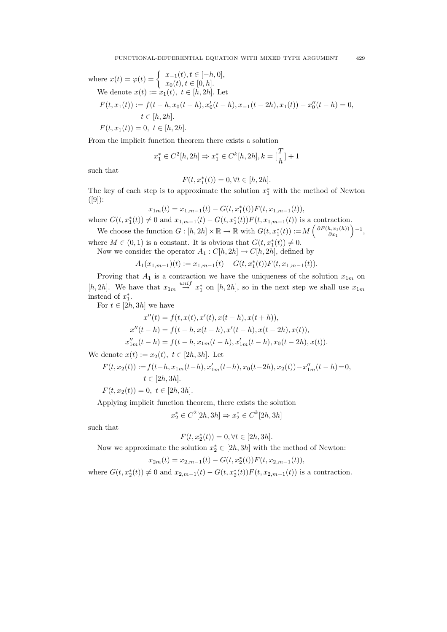where 
$$
x(t) = \varphi(t) = \begin{cases} x_{-1}(t), t \in [-h, 0], \\ x_0(t), t \in [0, h]. \end{cases}
$$
  
We denote  $x(t) := x_1(t), t \in [h, 2h]$ . Let  
 $F(t, x_1(t)) := f(t - h, x_0(t - h), x'_0(t - h), x_{-1}(t - 2h), x_1(t)) - x''_0(t - h) = 0,$   
 $t \in [h, 2h]$ .  
 $F(t, x_1(t)) = 0, t \in [h, 2h]$ .

From the implicit function theorem there exists a solution

$$
x_1^* \in C^2[h, 2h] \Rightarrow x_1^* \in C^k[h, 2h], k = \left[\frac{T}{h}\right] + 1
$$

such that

$$
F(t, x_1^*(t)) = 0, \forall t \in [h, 2h].
$$

The key of each step is to approximate the solution  $x_1^*$  with the method of Newton  $([9])$ :

$$
x_{1m}(t) = x_{1,m-1}(t) - G(t, x_1^*(t))F(t, x_{1,m-1}(t)),
$$

where  $G(t, x_1^*(t)) \neq 0$  and  $x_{1,m-1}(t) - G(t, x_1^*(t))F(t, x_{1,m-1}(t))$  is a contraction. We choose the function  $G : [h, 2h] \times \mathbb{R} \to \mathbb{R}$  with  $G(t, x_1^*(t)) := M\left(\frac{\partial F(h, x_1(h))}{\partial x_1}\right)$  $-1,$ 

 $\partial x_1$ where  $M \in (0, 1)$  is a constant. It is obvious that  $G(t, x_1^*(t)) \neq 0$ .

Now we consider the operator  $A_1 : C[h, 2h] \to C[h, 2h]$ , defined by

$$
A_1(x_{1,m-1})(t) := x_{1,m-1}(t) - G(t, x_1^*(t))F(t, x_{1,m-1}(t)).
$$

Proving that  $A_1$  is a contraction we have the uniqueness of the solution  $x_{1m}$  on [h, 2h]. We have that  $x_{1m} \stackrel{unif}{\rightarrow} x_1^*$  on [h, 2h], so in the next step we shall use  $x_{1m}$ instead of  $x_1^*$ .

For  $t \in [2h, 3h]$  we have

$$
x''(t) = f(t, x(t), x'(t), x(t-h), x(t+h)),
$$
  
\n
$$
x''(t-h) = f(t-h, x(t-h), x'(t-h), x(t-2h), x(t)),
$$
  
\n
$$
x''_{1m}(t-h) = f(t-h, x_{1m}(t-h), x'_{1m}(t-h), x_0(t-2h), x(t)).
$$

We denote  $x(t) := x_2(t), t \in [2h, 3h]$ . Let

$$
F(t, x_2(t)) := f(t - h, x_{1m}(t - h), x'_{1m}(t - h), x_0(t - 2h), x_2(t)) - x''_{1m}(t - h) = 0,
$$
  
\n
$$
t \in [2h, 3h].
$$
  
\n
$$
F(t, x_2(t)) = 0, \ t \in [2h, 3h].
$$

Applying implicit function theorem, there exists the solution

$$
x_2^*\in C^2[2h,3h]\Rightarrow x_2^*\in C^k[2h,3h]
$$

such that

$$
F(t, x_2^*(t)) = 0, \forall t \in [2h, 3h].
$$

Now we approximate the solution  $x_2^* \in [2h, 3h]$  with the method of Newton:

$$
x_{2m}(t) = x_{2,m-1}(t) - G(t, x_2^*(t))F(t, x_{2,m-1}(t)),
$$

where  $G(t, x_2^*(t)) \neq 0$  and  $x_{2,m-1}(t) - G(t, x_2^*(t))F(t, x_{2,m-1}(t))$  is a contraction.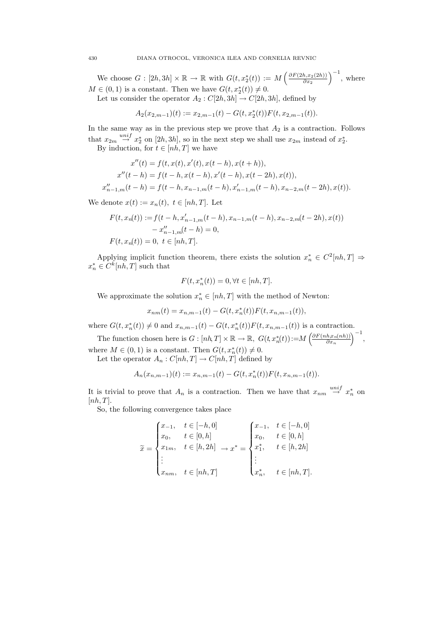430 DIANA OTROCOL, VERONICA ILEA AND CORNELIA REVNIC

We choose  $G: [2h,3h] \times \mathbb{R} \to \mathbb{R}$  with  $G(t, x_2^*(t)) := M\left(\frac{\partial F(2h,x_2(2h))}{\partial x_2}\right)$  $\partial x_2$  $\Big)^{-1}$ , where  $M \in (0,1)$  is a constant. Then we have  $G(t, x_2^*(t)) \neq 0$ .

Let us consider the operator  $A_2 : C[2h,3h] \to C[2h,3h]$ , defined by

$$
A_2(x_{2,m-1})(t) := x_{2,m-1}(t) - G(t, x_2^*(t))F(t, x_{2,m-1}(t)).
$$

In the same way as in the previous step we prove that  $A_2$  is a contraction. Follows that  $x_{2m} \stackrel{unif}{\rightarrow} x_2^*$  on  $[2h,3h]$ , so in the next step we shall use  $x_{2m}$  instead of  $x_2^*$ .

By induction, for  $t \in [nh, T]$  we have

$$
x''(t) = f(t, x(t), x'(t), x(t-h), x(t+h)),
$$
  
\n
$$
x''(t-h) = f(t-h, x(t-h), x'(t-h), x(t-2h), x(t)),
$$
  
\n
$$
x''_{n-1,m}(t-h) = f(t-h, x_{n-1,m}(t-h), x'_{n-1,m}(t-h), x_{n-2,m}(t-2h), x(t)).
$$

We denote  $x(t) := x_n(t), t \in [nh, T]$ . Let

$$
F(t, x_n(t)) := f(t - h, x'_{n-1,m}(t - h), x_{n-1,m}(t - h), x_{n-2,m}(t - 2h), x(t))
$$
  

$$
- x''_{n-1,m}(t - h) = 0,
$$
  

$$
F(t, x_n(t)) = 0, \ t \in [nh, T].
$$

Applying implicit function theorem, there exists the solution  $x_n^* \in C^2[nh, T] \Rightarrow$  $x_n^* \in C^k[nh, T]$  such that

$$
F(t, x_n^*(t)) = 0, \forall t \in [nh, T].
$$

We approximate the solution  $x_n^* \in [nh, T]$  with the method of Newton:

$$
x_{nm}(t) = x_{n,m-1}(t) - G(t, x_n^*(t))F(t, x_{n,m-1}(t)),
$$

where  $G(t, x_n^*(t)) \neq 0$  and  $x_{n,m-1}(t) - G(t, x_n^*(t))F(t, x_{n,m-1}(t))$  is a contraction.

The function chosen here is  $G: [nh, T] \times \mathbb{R} \to \mathbb{R}$ ,  $G(t, x_n^*(t)) := M \left( \frac{\partial F(n h, x_n(nh))}{\partial x_n} \right)$  $\partial x_n$  $\big)^{-1},$ where  $M \in (0,1)$  is a constant. Then  $G(t, x_n^*(t)) \neq 0$ .

Let the operator  $A_n: C[nh, T] \to C[nh, T]$  defined by

$$
A_n(x_{n,m-1})(t) := x_{n,m-1}(t) - G(t, x_n^*(t))F(t, x_{n,m-1}(t)).
$$

It is trivial to prove that  $A_n$  is a contraction. Then we have that  $x_{nm} \stackrel{unif}{\rightarrow} x_n^*$  on  $[nh, T]$ .

So, the following convergence takes place

$$
\widetilde{x} = \begin{cases} x_{-1}, & t \in [-h, 0] \\ x_0, & t \in [0, h] \\ x_{1m}, & t \in [h, 2h] \\ \vdots \\ x_{nm}, & t \in [nh, T] \end{cases} \longrightarrow x^* = \begin{cases} x_{-1}, & t \in [-h, 0] \\ x_0, & t \in [0, h] \\ x_1^*, & t \in [h, 2h] \\ \vdots \\ x_n^*, & t \in [nh, T]. \end{cases}
$$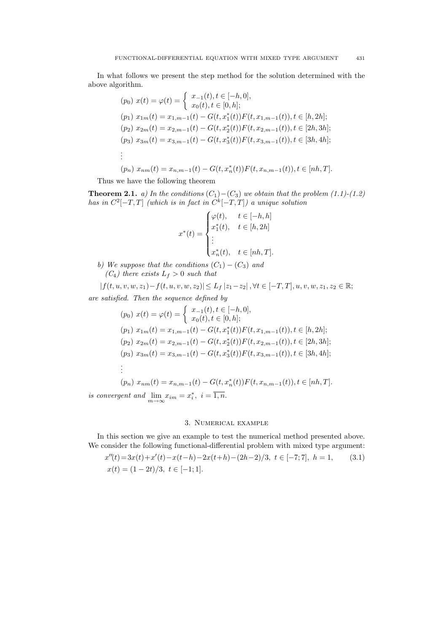In what follows we present the step method for the solution determined with the above algorithm.

$$
(p_0) \ x(t) = \varphi(t) = \begin{cases} \ x_{-1}(t), t \in [-h, 0], \\ \ x_0(t), t \in [0, h]; \end{cases}
$$
  
\n
$$
(p_1) \ x_{1m}(t) = x_{1,m-1}(t) - G(t, x_1^*(t))F(t, x_{1,m-1}(t)), t \in [h, 2h];
$$
  
\n
$$
(p_2) \ x_{2m}(t) = x_{2,m-1}(t) - G(t, x_2^*(t))F(t, x_{2,m-1}(t)), t \in [2h, 3h];
$$
  
\n
$$
(p_3) \ x_{3m}(t) = x_{3,m-1}(t) - G(t, x_3^*(t))F(t, x_{3,m-1}(t)), t \in [3h, 4h];
$$
  
\n
$$
\vdots
$$
  
\n
$$
(p_n) \ x_{nm}(t) = x_{n,m-1}(t) - G(t, x_n^*(t))F(t, x_{n,m-1}(t)), t \in [nh, T].
$$

Thus we have the following theorem

**Theorem 2.1.** a) In the conditions  $(C_1) - (C_3)$  we obtain that the problem (1.1)-(1.2) has in  $C^2[-T,T]$  (which is in fact in  $C^k[-T,T]$ ) a unique solution

$$
x^*(t) = \begin{cases} \varphi(t), & t \in [-h, h] \\ x_1^*(t), & t \in [h, 2h] \\ \vdots \\ x_n^*(t), & t \in [nh, T]. \end{cases}
$$

b) We suppose that the conditions  $(C_1) - (C_3)$  and  $(C_4)$  there exists  $L_f > 0$  such that

$$
|f(t, u, v, w, z_1) - f(t, u, v, w, z_2)| \le L_f |z_1 - z_2|, \forall t \in [-T, T], u, v, w, z_1, z_2 \in \mathbb{R};
$$
  
are satisfied. Then the sequence defined by

$$
(p_0) \ x(t) = \varphi(t) = \begin{cases} \ x_{-1}(t), t \in [-h, 0], \\ \ x_0(t), t \in [0, h]; \end{cases}
$$

$$
(p_1) \ x_{1m}(t) = x_{1,m-1}(t) - G(t, x_1^*(t))F(t, x_{1,m-1}(t)), t \in [h, 2h];
$$

$$
(p_2) \ x_{2m}(t) = x_{2,m-1}(t) - G(t, x_2^*(t))F(t, x_{2,m-1}(t)), t \in [2h, 3h];
$$

$$
(p_3) \ x_{3m}(t) = x_{3,m-1}(t) - G(t, x_3^*(t))F(t, x_{3,m-1}(t)), t \in [3h, 4h];
$$

$$
\vdots
$$

$$
(p_n) \ x_{nm}(t) = x_{n,m-1}(t) - G(t, x_n^*(t))F(t, x_{n,m-1}(t)), t \in [nh, T].
$$
  
is convergent and 
$$
\lim_{m \to \infty} x_{im} = x_i^*, \ i = \overline{1, n}.
$$

## 3. Numerical example

In this section we give an example to test the numerical method presented above. We consider the following functional-differential problem with mixed type argument:

$$
x''(t) = 3x(t) + x'(t) - x(t-h) - 2x(t+h) - (2h-2)/3, \ t \in [-7; 7], \ h = 1,
$$
  
\n
$$
x(t) = (1 - 2t)/3, \ t \in [-1; 1].
$$
\n(3.1)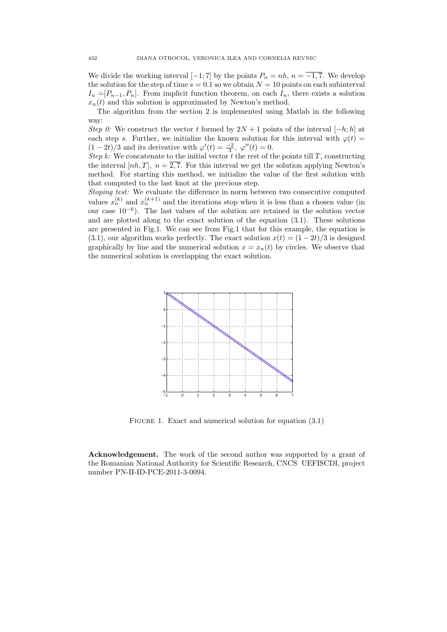We divide the working interval  $[-1, 7]$  by the points  $P_n = nh$ ,  $n = \overline{-1, 7}$ . We develop the solution for the step of time  $s = 0.1$  so we obtain  $N = 10$  points on each subinterval  $I_n = [P_{n-1}, P_n]$ . From implicit function theorem, on each  $I_n$ , there exists a solution  $x_n(t)$  and this solution is approximated by Newton's method.

The algorithm from the section 2 is implemented using Matlab in the following way:

Step 0: We construct the vector t formed by  $2N + 1$  points of the interval  $[-h; h]$  at each step s. Further, we initialize the known solution for this interval with  $\varphi(t)$  =  $(1-2t)/3$  and its derivative with  $\varphi'(t) = \frac{-2}{3}, \varphi''(t) = 0.$ 

Step k: We concatenate to the initial vector  $t$  the rest of the points till  $T$ , constructing the interval  $[nh, T]$ ,  $n = \overline{2, 7}$ . For this interval we get the solution applying Newton's method. For starting this method, we initialize the value of the first solution with that computed to the last knot at the previous step.

Stoping test: We evaluate the difference in norm between two consecutive computed values  $x_n^{(k)}$  and  $x_n^{(k+1)}$  and the iterations stop when it is less than a chosen value (in our case 10<sup>−</sup><sup>6</sup> ). The last values of the solution are retained in the solution vector and are plotted along to the exact solution of the equation (3.1). These solutions are presented in Fig.1. We can see from Fig.1 that for this example, the equation is (3.1), our algorithm works perfectly. The exact solution  $x(t) = (1 - 2t)/3$  is designed graphically by line and the numerical solution  $x = x_n(t)$  by circles. We observe that the numerical solution is overlapping the exact solution.



FIGURE 1. Exact and numerical solution for equation  $(3.1)$ 

Acknowledgement. The work of the second author was supported by a grant of the Romanian National Authority for Scientific Research, CNCS UEFISCDI, project number PN-II-ID-PCE-2011-3-0094.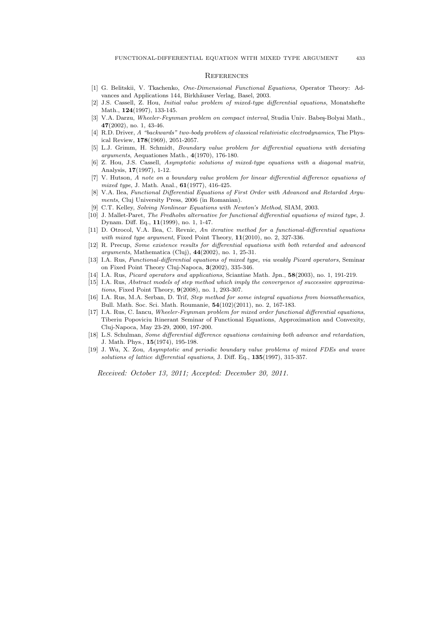#### **REFERENCES**

- [1] G. Belitskii, V. Tkachenko, One-Dimensional Functional Equations, Operator Theory: Advances and Applications 144, Birkhäuser Verlag, Basel, 2003.
- [2] J.S. Cassell, Z. Hou, Initial value problem of mixed-type differential equations, Monatshefte Math., 124(1997), 133-145.
- [3] V.A. Darzu, Wheeler-Feynman problem on compact interval, Studia Univ. Babes-Bolyai Math., 47(2002), no. 1, 43-46.
- [4] R.D. Driver, A "backwards" two-body problem of classical relativistic electrodynamics, The Physical Review, 178(1969), 2051-2057.
- [5] L.J. Grimm, H. Schmidt, Boundary value problem for differential equations with deviating arguments, Aequationes Math., 4(1970), 176-180.
- [6] Z. Hou, J.S. Cassell, Asymptotic solutions of mixed-type equations with a diagonal matrix, Analysis, 17(1997), 1-12.
- [7] V. Hutson, A note on a boundary value problem for linear differential difference equations of mixed type, J. Math. Anal.,  $61(1977)$ , 416-425.
- [8] V.A. Ilea, Functional Differential Equations of First Order with Advanced and Retarded Arguments, Cluj University Press, 2006 (in Romanian).
- [9] C.T. Kelley, Solving Nonlinear Equations with Newton's Method, SIAM, 2003.
- [10] J. Mallet-Paret, The Fredholm alternative for functional differential equations of mixed type, J. Dynam. Diff. Eq., 11(1999), no. 1, 1-47.
- [11] D. Otrocol, V.A. Ilea, C. Revnic, An iterative method for a functional-differential equations with mixed type argument, Fixed Point Theory,  $11(2010)$ , no. 2, 327-336.
- [12] R. Precup, Some existence results for differential equations with both retarded and advanced arguments, Mathematica (Cluj), 44(2002), no. 1, 25-31.
- [13] I.A. Rus, Functional-differential equations of mixed type, via weakly Picard operators, Seminar on Fixed Point Theory Cluj-Napoca, 3(2002), 335-346.
- [14] I.A. Rus, Picard operators and applications, Sciantiae Math. Jpn., 58(2003), no. 1, 191-219.
- [15] I.A. Rus, Abstract models of step method which imply the convergence of successive approximations, Fixed Point Theory, 9(2008), no. 1, 293-307.
- [16] I.A. Rus, M.A. Serban, D. Trif, Step method for some integral equations from biomathematics, Bull. Math. Soc. Sci. Math. Roumanie, 54(102)(2011), no. 2, 167-183.
- [17] I.A. Rus, C. Iancu, Wheeler-Feynman problem for mixed order functional differential equations, Tiberiu Popoviciu Itinerant Seminar of Functional Equations, Approximation and Convexity, Cluj-Napoca, May 23-29, 2000, 197-200.
- [18] L.S. Schulman, Some differential difference equations containing both advance and retardation, J. Math. Phys., 15(1974), 195-198.
- [19] J. Wu, X. Zou, Asymptotic and periodic boundary value problems of mixed FDEs and wave solutions of lattice differential equations, J. Diff. Eq., 135(1997), 315-357.

Received: October 13, 2011; Accepted: December 20, 2011.